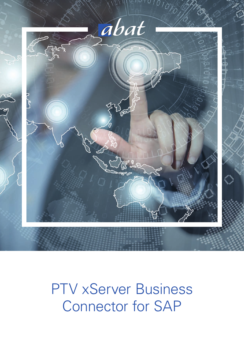

# PTV xServer Business Connector for SAP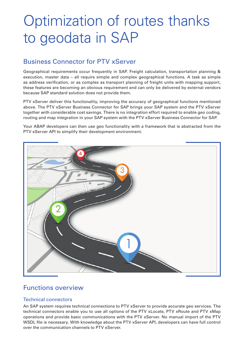# Optimization of routes thanks to geodata in SAP

# Business Connector for PTV xServer

Geographical requirements occur frequently in SAP. Freight calculation, transportation planning & execution, master data – all require simple and complex geographical functions. A task as simple as address verification, or as complex as transport planning of freight units with mapping support, these features are becoming an obvious requirement and can only be delivered by external vendors because SAP standard solution does not provide them.

PTV xServer deliver this functionality, improving the accuracy of geographical functions mentioned above. The PTV xServer Business Connector for SAP brings your SAP system and the PTV xServer together with considerable cost savings. There is no integration effort required to enable geo coding, routing and map integration in your SAP system with the PTV xServer Business Connector for SAP.

Your ABAP developers can then use geo functionality with a framework that is abstracted from the PTV xServer API to simplify their development environment.



## Functions overview

### Technical connectors

An SAP system requires technical connections to PTV xServer to provide accurate geo services. The technical connectors enable you to use all options of the PTV xLocate, PTV xRoute and PTV xMap operations and provide basic communications with the PTV xServer. No manual import of the PTV WSDL file is necessary. With knowledge about the PTV xServer API, developers can have full control over the communication channels to PTV xServer.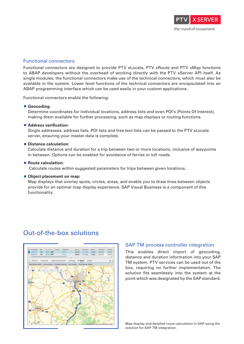

#### Functional connectors

Functional connectors are designed to provide PTV xLocate, PTV xRoute and PTV xMap functions to ABAP developers without the overhead of working directly with the PTV xServer API itself. As single modules, the functional connectors make use of the technical connectors, which must also be available in the system. Lower level functions of the technical connectors are encapsulated into an ABAP programming interface which can be used easily in your custom applications.

Functional connectors enable the following:

#### **Geocoding:**

Determine coordinates for individual locations, address lists and even POI's (Points Of Interest), making them available for further processing, such as map displays or routing functions.

#### **Address verification:**

Single addresses, address lists, POI lists and free text lists can be passed to the PTV xLocate server, ensuring your master data is complete.

#### **Distance calculation:**

Calculate distance and duration for a trip between two or more locations, inclusive of waypoints in between. Options can be enabled for avoidance of ferries or toll roads.

#### ■ Route calculation:

Calculate routes within suggested parameters for trips between given locations.

#### ■ Object placement on map:

Map displays that overlay spots, circles, areas, and enable you to draw lines between objects provide for an optimal map display experience. SAP Visual Business is a component of this functionality.

### Out-of-the-box solutions



#### SAP TM process controller integration

This enables direct import of geocoding, distance and duration information into your SAP TM system. PTV services can be used out of the box, requiring no further implementation. The solution fits seamlessly into the system at the point which was designated by the SAP standard.

Map display and detailed route calculation in SAP using the solution for SAP TM integration.